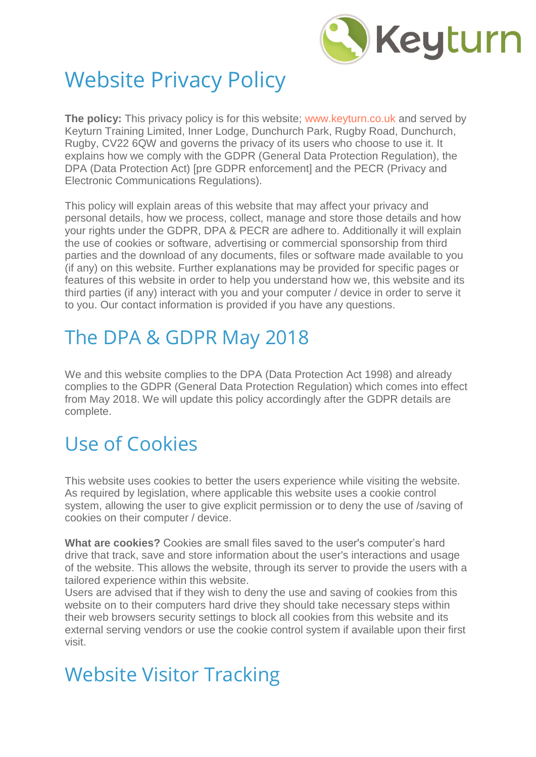

# Website Privacy Policy

**The policy:** This privacy policy is for this website; [www.keyturn.co.uk](http://www.keyturn.co.uk/) and served by Keyturn Training Limited, Inner Lodge, Dunchurch Park, Rugby Road, Dunchurch, Rugby, CV22 6QW and governs the privacy of its users who choose to use it. It explains how we comply with the GDPR (General Data Protection Regulation), the DPA (Data Protection Act) [pre GDPR enforcement] and the PECR (Privacy and Electronic Communications Regulations).

This policy will explain areas of this website that may affect your privacy and personal details, how we process, collect, manage and store those details and how your rights under the GDPR, DPA & PECR are adhere to. Additionally it will explain the use of cookies or software, advertising or commercial sponsorship from third parties and the download of any documents, files or software made available to you (if any) on this website. Further explanations may be provided for specific pages or features of this website in order to help you understand how we, this website and its third parties (if any) interact with you and your computer / device in order to serve it to you. Our contact information is provided if you have any questions.

## The DPA & GDPR May 2018

We and this website complies to the DPA (Data Protection Act 1998) and already complies to the GDPR (General Data Protection Regulation) which comes into effect from May 2018. We will update this policy accordingly after the GDPR details are complete.

# Use of Cookies

This website uses cookies to better the users experience while visiting the website. As required by legislation, where applicable this website uses a cookie control system, allowing the user to give explicit permission or to deny the use of /saving of cookies on their computer / device.

**What are cookies?** Cookies are small files saved to the user's computer's hard drive that track, save and store information about the user's interactions and usage of the website. This allows the website, through its server to provide the users with a tailored experience within this website.

Users are advised that if they wish to deny the use and saving of cookies from this website on to their computers hard drive they should take necessary steps within their web browsers security settings to block all cookies from this website and its external serving vendors or use the cookie control system if available upon their first visit.

## Website Visitor Tracking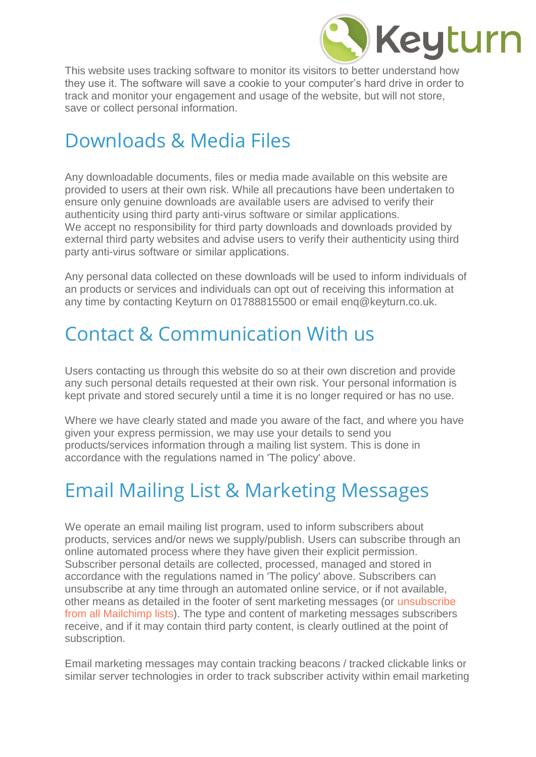

This website uses tracking software to monitor its visitors to better understand how they use it. The software will save a cookie to your computer's hard drive in order to track and monitor your engagement and usage of the website, but will not store, save or collect personal information.

### Downloads & Media Files

Any downloadable documents, files or media made available on this website are provided to users at their own risk. While all precautions have been undertaken to ensure only genuine downloads are available users are advised to verify their authenticity using third party anti-virus software or similar applications. We accept no responsibility for third party downloads and downloads provided by external third party websites and advise users to verify their authenticity using third party anti-virus software or similar applications.

Any personal data collected on these downloads will be used to inform individuals of an products or services and individuals can opt out of receiving this information at any time by contacting Keyturn on 01788815500 or email enq@keyturn.co.uk.

### Contact & Communication With us

Users contacting us through this website do so at their own discretion and provide any such personal details requested at their own risk. Your personal information is kept private and stored securely until a time it is no longer required or has no use.

Where we have clearly stated and made you aware of the fact, and where you have given your express permission, we may use your details to send you products/services information through a mailing list system. This is done in accordance with the regulations named in 'The policy' above.

## Email Mailing List & Marketing Messages

We operate an email mailing list program, used to inform subscribers about products, services and/or news we supply/publish. Users can subscribe through an online automated process where they have given their explicit permission. Subscriber personal details are collected, processed, managed and stored in accordance with the regulations named in 'The policy' above. Subscribers can unsubscribe at any time through an automated online service, or if not available, other means as detailed in the footer of sent marketing messages (or [unsubscribe](http://jamieking.co.uk/blog/email-marketing/unsubscribe-from-all-global-mailchimp-lists.html)  [from all Mailchimp lists\)](http://jamieking.co.uk/blog/email-marketing/unsubscribe-from-all-global-mailchimp-lists.html). The type and content of marketing messages subscribers receive, and if it may contain third party content, is clearly outlined at the point of subscription.

Email marketing messages may contain tracking beacons / tracked clickable links or similar server technologies in order to track subscriber activity within email marketing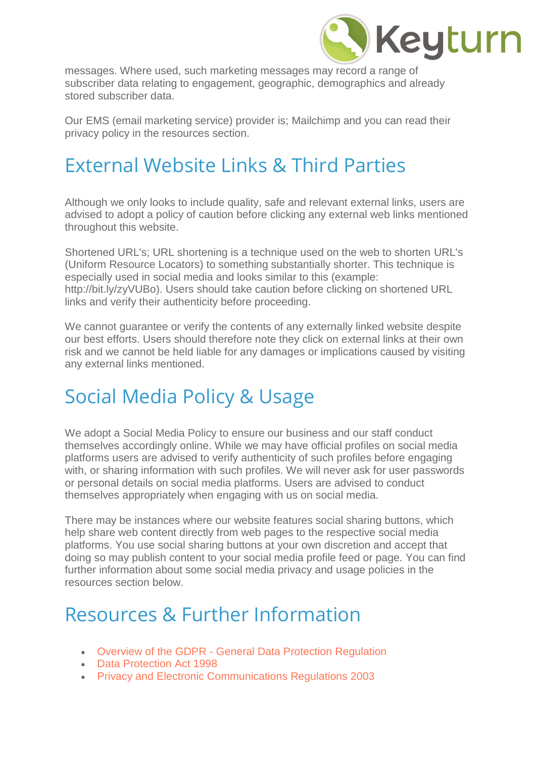

messages. Where used, such marketing messages may record a range of subscriber data relating to engagement, geographic, demographics and already stored subscriber data.

Our EMS (email marketing service) provider is; Mailchimp and you can read their privacy policy in the resources section.

#### External Website Links & Third Parties

Although we only looks to include quality, safe and relevant external links, users are advised to adopt a policy of caution before clicking any external web links mentioned throughout this website.

Shortened URL's; URL shortening is a technique used on the web to shorten URL's (Uniform Resource Locators) to something substantially shorter. This technique is especially used in social media and looks similar to this (example: http://bit.ly/zyVUBo). Users should take caution before clicking on shortened URL links and verify their authenticity before proceeding.

We cannot guarantee or verify the contents of any externally linked website despite our best efforts. Users should therefore note they click on external links at their own risk and we cannot be held liable for any damages or implications caused by visiting any external links mentioned.

#### Social Media Policy & Usage

We adopt a Social Media Policy to ensure our business and our staff conduct themselves accordingly online. While we may have official profiles on social media platforms users are advised to verify authenticity of such profiles before engaging with, or sharing information with such profiles. We will never ask for user passwords or personal details on social media platforms. Users are advised to conduct themselves appropriately when engaging with us on social media.

There may be instances where our website features social sharing buttons, which help share web content directly from web pages to the respective social media platforms. You use social sharing buttons at your own discretion and accept that doing so may publish content to your social media profile feed or page. You can find further information about some social media privacy and usage policies in the resources section below.

#### Resources & Further Information

- Overview of the GDPR [General Data Protection Regulation](https://ico.org.uk/for-organisations/data-protection-reform/overview-of-the-gdpr/)
- [Data Protection Act 1998](http://www.legislation.gov.uk/ukpga/1998/29/contents)
- [Privacy and Electronic Communications Regulations 2003](http://www.legislation.gov.uk/uksi/2003/2426/contents/made)